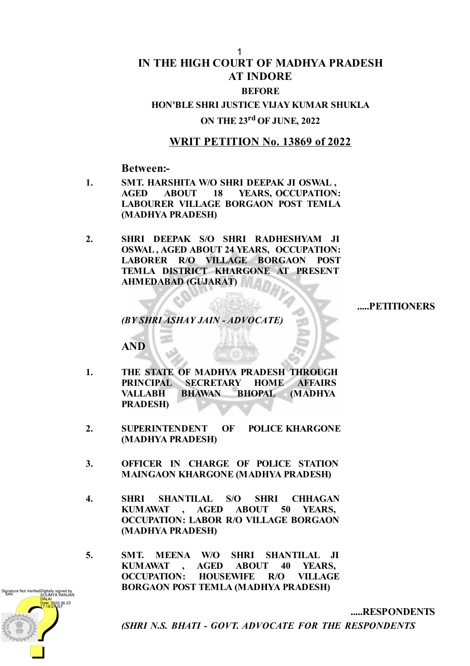#### 1

# **IN THE HIGH COURT OF MADHYA PRADESH AT INDORE**

### **BEFORE**

# **HON'BLE SHRI JUSTICE VIJAY KUMAR SHUKLA**

# **ON THE 23 rd OF JUNE, 2022**

## **WRIT PETITION No. 13869 of 2022**

**Between:-**

- **1. SMT. HARSHITA W/O SHRI DEEPAK JI OSWAL , AGED ABOUT 18 YEARS, OCCUPATION: LABOURER VILLAGE BORGAON POST TEMLA (MADHYA PRADESH)**
- **2. SHRI DEEPAK S/O SHRI RADHESHYAM JI OSWAL , AGED ABOUT 24 YEARS, OCCUPATION: LABORER R/O VILLAGE BORGAON POST TEMLA DISTRICT KHARGONE AT PRESENT AHMEDABAD (GUJARAT)**

**.....PETITIONERS**

**.....RESPONDENTS**

*(BY SHRI ASHAY JAIN - ADVOCATE)*

**AND**

- **1. THE STATE OF MADHYA PRADESH THROUGH PRINCIPAL SECRETARY HOME AFFAIRS VALLABH BHAWAN BHOPAL (MADHYA PRADESH)**
- **2. SUPERINTENDENT OF POLICE KHARGONE (MADHYA PRADESH)**
- **3. OFFICER IN CHARGE OF POLICE STATION MAINGAON KHARGONE (MADHYA PRADESH)**
- **4. SHRI SHANTILAL S/O SHRI CHHAGAN KUMAWAT , AGED ABOUT 50 YEARS, OCCUPATION: LABOR R/O VILLAGE BORGAON (MADHYA PRADESH)**
- **5. SMT. MEENA W/O SHRI SHANTILAL JI KUMAWAT , AGED ABOUT 40 YEARS, OCCUPATION: HOUSEWIFE R/O VILLAGE BORGAON POST TEMLA (MADHYA PRADESH)**

Digitally signed by SOUMYA RANJAN **DALAI** Date: 2022.06.23 17:18:37 IST Signature Not Verifie

*(SHRI N.S. BHATI - GOVT. ADVOCATE FOR THE RESPONDENTS*